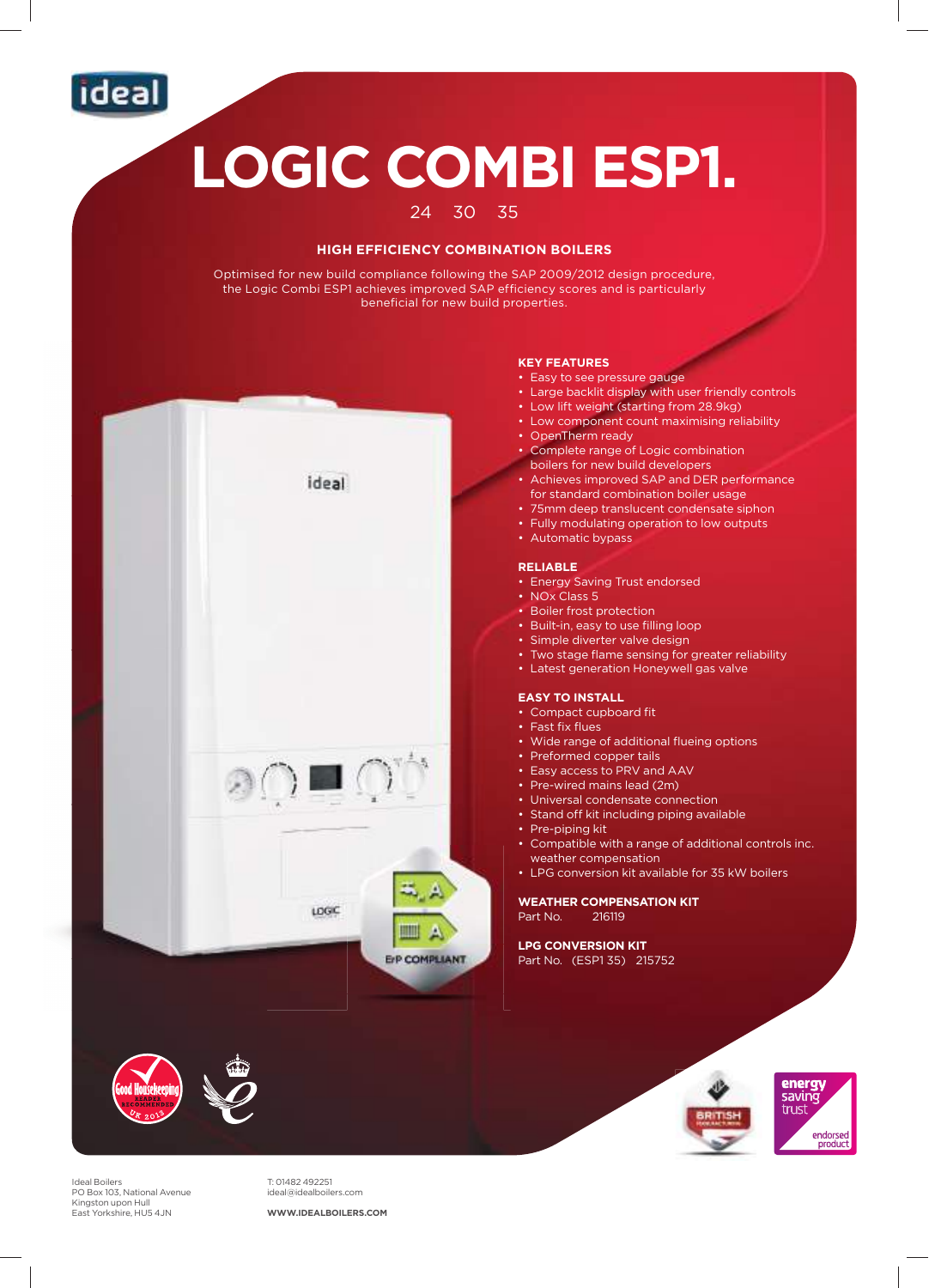

# **LOGIC COMBI ESP1.**

#### 24 30 35

#### **HIGH EFFICIENCY COMBINATION BOILERS**

Optimised for new build compliance following the SAP 2009/2012 design procedure, the Logic Combi ESP1 achieves improved SAP efficiency scores and is particularly beneficial for new build properties.



Ideal Boilers PO Box 103, National Avenue Kingston upon Hull East Yorkshire, HU5 4JN

T: 01482 492251 ideal@idealboilers.com

**WWW.IDEALBOILERS.COM**